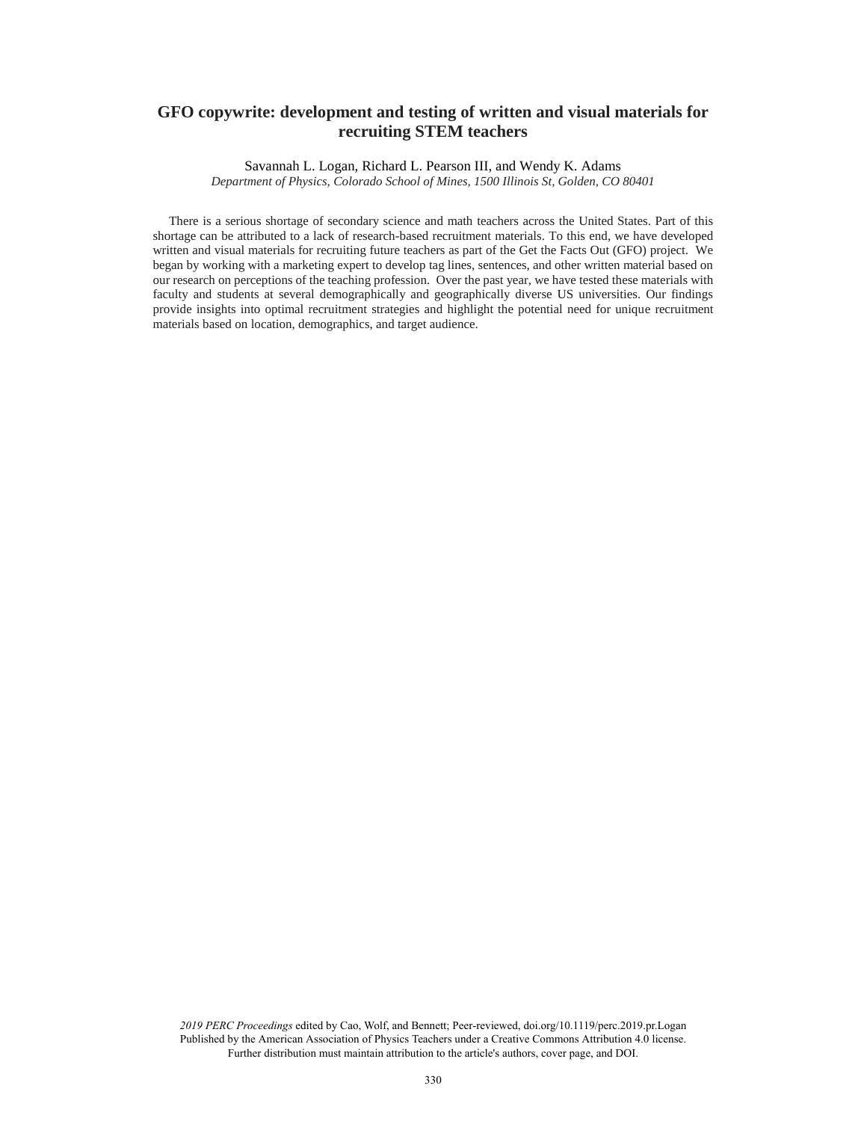# **GFO copywrite: development and testing of written and visual materials for recruiting STEM teachers**

Savannah L. Logan, Richard L. Pearson III, and Wendy K. Adams

*Department of Physics, Colorado School of Mines, 1500 Illinois St, Golden, CO 80401*

 There is a serious shortage of secondary science and math teachers across the United States. Part of this shortage can be attributed to a lack of research-based recruitment materials. To this end, we have developed written and visual materials for recruiting future teachers as part of the Get the Facts Out (GFO) project. We began by working with a marketing expert to develop tag lines, sentences, and other written material based on our research on perceptions of the teaching profession. Over the past year, we have tested these materials with faculty and students at several demographically and geographically diverse US universities. Our findings provide insights into optimal recruitment strategies and highlight the potential need for unique recruitment materials based on location, demographics, and target audience.

*2019 PERC Proceedings* edited by Cao, Wolf, and Bennett; Peer-reviewed, doi.org/10.1119/perc.2019.pr.Logan Published by the American Association of Physics Teachers under a Creative Commons Attribution 4.0 license. Further distribution must maintain attribution to the article's authors, cover page, and DOI.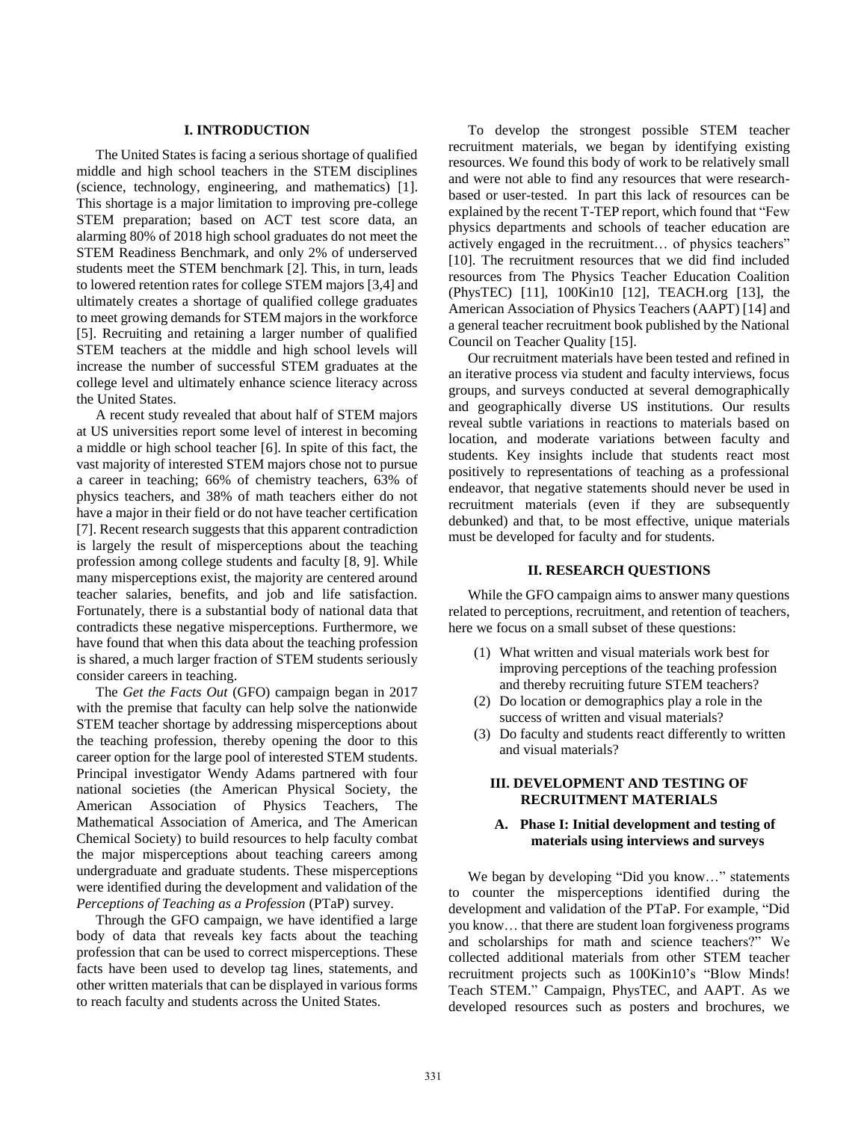## **I. INTRODUCTION**

The United States is facing a serious shortage of qualified middle and high school teachers in the STEM disciplines (science, technology, engineering, and mathematics) [1]. This shortage is a major limitation to improving pre-college STEM preparation; based on ACT test score data, an alarming 80% of 2018 high school graduates do not meet the STEM Readiness Benchmark, and only 2% of underserved students meet the STEM benchmark [2]. This, in turn, leads to lowered retention rates for college STEM majors [3,4] and ultimately creates a shortage of qualified college graduates to meet growing demands for STEM majors in the workforce [5]. Recruiting and retaining a larger number of qualified STEM teachers at the middle and high school levels will increase the number of successful STEM graduates at the college level and ultimately enhance science literacy across the United States.

A recent study revealed that about half of STEM majors at US universities report some level of interest in becoming a middle or high school teacher [6]. In spite of this fact, the vast majority of interested STEM majors chose not to pursue a career in teaching; 66% of chemistry teachers, 63% of physics teachers, and 38% of math teachers either do not have a major in their field or do not have teacher certification [7]. Recent research suggests that this apparent contradiction is largely the result of misperceptions about the teaching profession among college students and faculty [8, 9]. While many misperceptions exist, the majority are centered around teacher salaries, benefits, and job and life satisfaction. Fortunately, there is a substantial body of national data that contradicts these negative misperceptions. Furthermore, we have found that when this data about the teaching profession is shared, a much larger fraction of STEM students seriously consider careers in teaching.

The *Get the Facts Out* (GFO) campaign began in 2017 with the premise that faculty can help solve the nationwide STEM teacher shortage by addressing misperceptions about the teaching profession, thereby opening the door to this career option for the large pool of interested STEM students. Principal investigator Wendy Adams partnered with four national societies (the American Physical Society, the American Association of Physics Teachers, The Mathematical Association of America, and The American Chemical Society) to build resources to help faculty combat the major misperceptions about teaching careers among undergraduate and graduate students. These misperceptions were identified during the development and validation of the *Perceptions of Teaching as a Profession* (PTaP) survey.

Through the GFO campaign, we have identified a large body of data that reveals key facts about the teaching profession that can be used to correct misperceptions. These facts have been used to develop tag lines, statements, and other written materials that can be displayed in various forms to reach faculty and students across the United States.

To develop the strongest possible STEM teacher recruitment materials, we began by identifying existing resources. We found this body of work to be relatively small and were not able to find any resources that were researchbased or user-tested. In part this lack of resources can be explained by the recent T-TEP report, which found that "Few physics departments and schools of teacher education are actively engaged in the recruitment… of physics teachers" [10]. The recruitment resources that we did find included resources from The Physics Teacher Education Coalition (PhysTEC) [11], 100Kin10 [12], TEACH.org [13], the American Association of Physics Teachers (AAPT) [14] and a general teacher recruitment book published by the National Council on Teacher Quality [15].

Our recruitment materials have been tested and refined in an iterative process via student and faculty interviews, focus groups, and surveys conducted at several demographically and geographically diverse US institutions. Our results reveal subtle variations in reactions to materials based on location, and moderate variations between faculty and students. Key insights include that students react most positively to representations of teaching as a professional endeavor, that negative statements should never be used in recruitment materials (even if they are subsequently debunked) and that, to be most effective, unique materials must be developed for faculty and for students.

#### **II. RESEARCH QUESTIONS**

While the GFO campaign aims to answer many questions related to perceptions, recruitment, and retention of teachers, here we focus on a small subset of these questions:

- (1) What written and visual materials work best for improving perceptions of the teaching profession and thereby recruiting future STEM teachers?
- (2) Do location or demographics play a role in the success of written and visual materials?
- (3) Do faculty and students react differently to written and visual materials?

# **III. DEVELOPMENT AND TESTING OF RECRUITMENT MATERIALS**

## **A. Phase I: Initial development and testing of materials using interviews and surveys**

We began by developing "Did you know…" statements to counter the misperceptions identified during the development and validation of the PTaP. For example, "Did you know… that there are student loan forgiveness programs and scholarships for math and science teachers?" We collected additional materials from other STEM teacher recruitment projects such as 100Kin10's "Blow Minds! Teach STEM." Campaign, PhysTEC, and AAPT. As we developed resources such as posters and brochures, we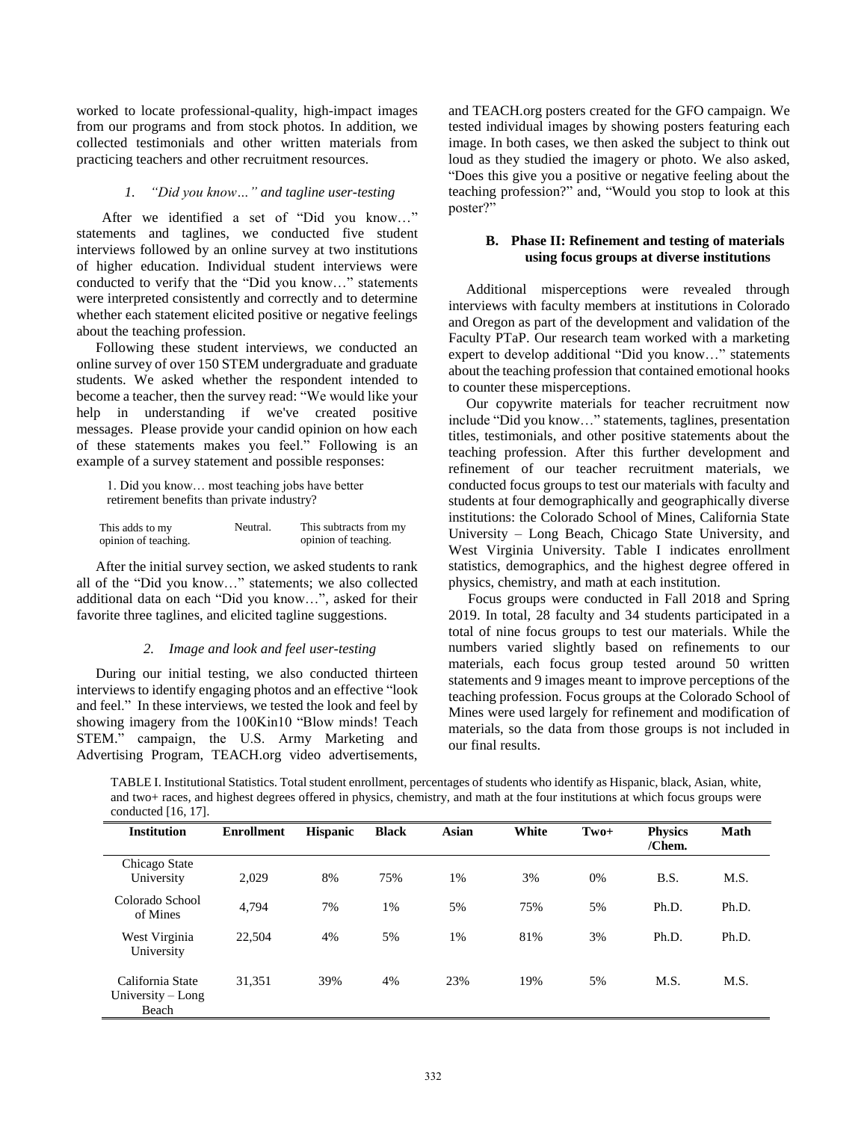worked to locate professional-quality, high-impact images from our programs and from stock photos. In addition, we collected testimonials and other written materials from practicing teachers and other recruitment resources.

## *1. "Did you know…" and tagline user-testing*

After we identified a set of "Did you know…" statements and taglines, we conducted five student interviews followed by an online survey at two institutions of higher education. Individual student interviews were conducted to verify that the "Did you know…" statements were interpreted consistently and correctly and to determine whether each statement elicited positive or negative feelings about the teaching profession.

Following these student interviews, we conducted an online survey of over 150 STEM undergraduate and graduate students. We asked whether the respondent intended to become a teacher, then the survey read: "We would like your help in understanding if we've created positive messages. Please provide your candid opinion on how each of these statements makes you feel." Following is an example of a survey statement and possible responses:

1. Did you know… most teaching jobs have better retirement benefits than private industry?

| This adds to my      | Neutral. | This subtracts from my |
|----------------------|----------|------------------------|
| opinion of teaching. |          | opinion of teaching.   |

After the initial survey section, we asked students to rank all of the "Did you know…" statements; we also collected additional data on each "Did you know…", asked for their favorite three taglines, and elicited tagline suggestions.

#### *2. Image and look and feel user-testing*

During our initial testing, we also conducted thirteen interviews to identify engaging photos and an effective "look and feel." In these interviews, we tested the look and feel by showing imagery from the 100Kin10 "Blow minds! Teach STEM." campaign, the U.S. Army Marketing and Advertising Program, TEACH.org video advertisements, and TEACH.org posters created for the GFO campaign. We tested individual images by showing posters featuring each image. In both cases, we then asked the subject to think out loud as they studied the imagery or photo. We also asked, "Does this give you a positive or negative feeling about the teaching profession?" and, "Would you stop to look at this poster?"

# **B. Phase II: Refinement and testing of materials using focus groups at diverse institutions**

 Additional misperceptions were revealed through interviews with faculty members at institutions in Colorado and Oregon as part of the development and validation of the Faculty PTaP. Our research team worked with a marketing expert to develop additional "Did you know…" statements about the teaching profession that contained emotional hooks to counter these misperceptions.

 Our copywrite materials for teacher recruitment now include "Did you know…" statements, taglines, presentation titles, testimonials, and other positive statements about the teaching profession. After this further development and refinement of our teacher recruitment materials, we conducted focus groups to test our materials with faculty and students at four demographically and geographically diverse institutions: the Colorado School of Mines, California State University – Long Beach, Chicago State University, and West Virginia University. Table I indicates enrollment statistics, demographics, and the highest degree offered in physics, chemistry, and math at each institution.

Focus groups were conducted in Fall 2018 and Spring 2019. In total, 28 faculty and 34 students participated in a total of nine focus groups to test our materials. While the numbers varied slightly based on refinements to our materials, each focus group tested around 50 written statements and 9 images meant to improve perceptions of the teaching profession. Focus groups at the Colorado School of Mines were used largely for refinement and modification of materials, so the data from those groups is not included in our final results.

TABLE I. Institutional Statistics. Total student enrollment, percentages of students who identify as Hispanic, black, Asian, white, and two+ races, and highest degrees offered in physics, chemistry, and math at the four institutions at which focus groups were conducted [16, 17].

| <b>Institution</b>                               | <b>Enrollment</b> | <b>Hispanic</b> | <b>Black</b> | <b>Asian</b> | White | $Tw0+$ | <b>Physics</b><br>/Chem. | Math  |
|--------------------------------------------------|-------------------|-----------------|--------------|--------------|-------|--------|--------------------------|-------|
| Chicago State<br>University                      | 2,029             | 8%              | 75%          | 1%           | 3%    | 0%     | B.S.                     | M.S.  |
| Colorado School<br>of Mines                      | 4,794             | 7%              | 1%           | 5%           | 75%   | 5%     | Ph.D.                    | Ph.D. |
| West Virginia<br>University                      | 22,504            | 4%              | 5%           | 1%           | 81%   | 3%     | Ph.D.                    | Ph.D. |
| California State<br>University $-$ Long<br>Beach | 31,351            | 39%             | 4%           | 23%          | 19%   | 5%     | M.S.                     | M.S.  |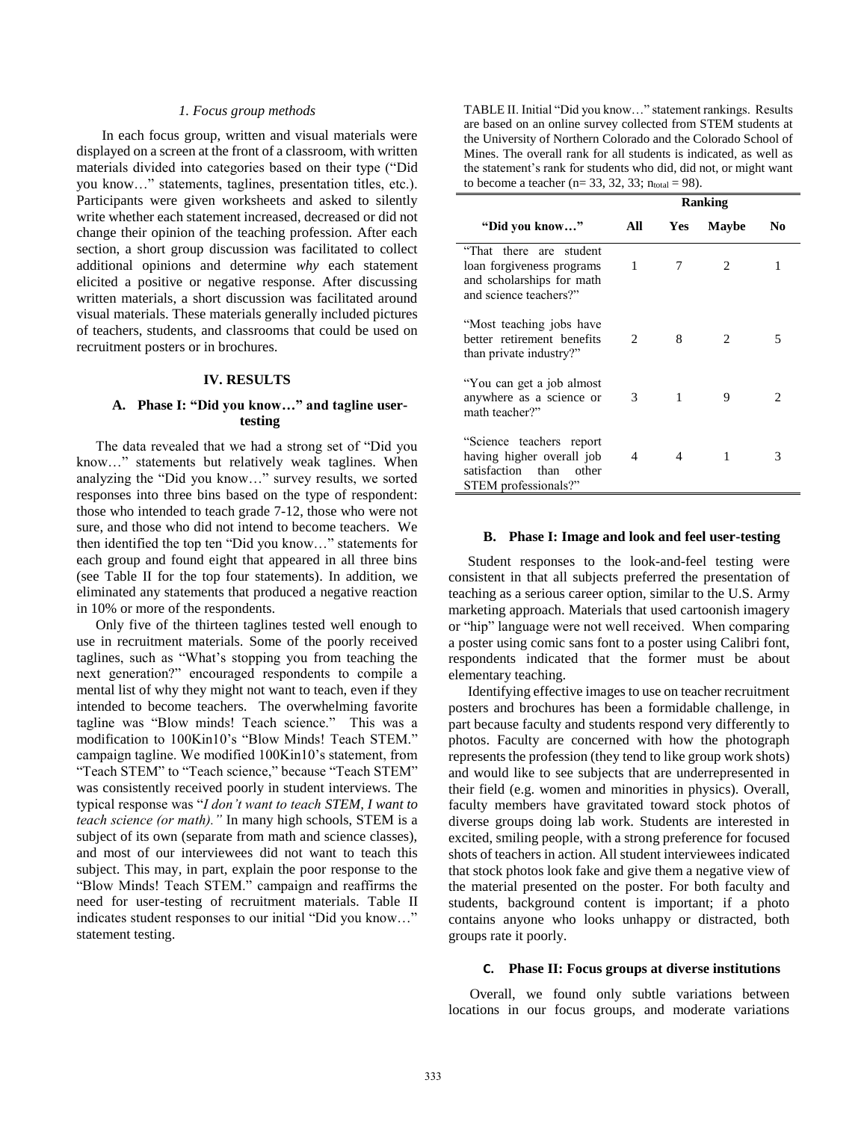## *1. Focus group methods*

In each focus group, written and visual materials were displayed on a screen at the front of a classroom, with written materials divided into categories based on their type ("Did you know…" statements, taglines, presentation titles, etc.). Participants were given worksheets and asked to silently write whether each statement increased, decreased or did not change their opinion of the teaching profession. After each section, a short group discussion was facilitated to collect additional opinions and determine *why* each statement elicited a positive or negative response. After discussing written materials, a short discussion was facilitated around visual materials. These materials generally included pictures of teachers, students, and classrooms that could be used on recruitment posters or in brochures.

### **IV. RESULTS**

# **A. Phase I: "Did you know…" and tagline usertesting**

The data revealed that we had a strong set of "Did you know…" statements but relatively weak taglines. When analyzing the "Did you know…" survey results, we sorted responses into three bins based on the type of respondent: those who intended to teach grade 7-12, those who were not sure, and those who did not intend to become teachers. We then identified the top ten "Did you know…" statements for each group and found eight that appeared in all three bins (see Table II for the top four statements). In addition, we eliminated any statements that produced a negative reaction in 10% or more of the respondents.

Only five of the thirteen taglines tested well enough to use in recruitment materials. Some of the poorly received taglines, such as "What's stopping you from teaching the next generation?" encouraged respondents to compile a mental list of why they might not want to teach, even if they intended to become teachers. The overwhelming favorite tagline was "Blow minds! Teach science." This was a modification to 100Kin10's "Blow Minds! Teach STEM." campaign tagline. We modified 100Kin10's statement, from "Teach STEM" to "Teach science," because "Teach STEM" was consistently received poorly in student interviews. The typical response was "*I don't want to teach STEM, I want to teach science (or math)."* In many high schools, STEM is a subject of its own (separate from math and science classes), and most of our interviewees did not want to teach this subject. This may, in part, explain the poor response to the "Blow Minds! Teach STEM." campaign and reaffirms the need for user-testing of recruitment materials. Table II indicates student responses to our initial "Did you know…" statement testing.

TABLE II. Initial "Did you know…" statement rankings. Results are based on an online survey collected from STEM students at the University of Northern Colorado and the Colorado School of Mines. The overall rank for all students is indicated, as well as the statement's rank for students who did, did not, or might want to become a teacher ( $n= 33, 32, 33; n_{total} = 98$ ).

|                                                                                                              | <b>Ranking</b> |            |              |    |
|--------------------------------------------------------------------------------------------------------------|----------------|------------|--------------|----|
| "Did you know"                                                                                               | All            | <b>Yes</b> | <b>Maybe</b> | No |
| "That there are student<br>loan forgiveness programs<br>and scholarships for math<br>and science teachers?"  | 1              | 7          | 2            |    |
| "Most teaching jobs have<br>better retirement benefits<br>than private industry?"                            | 2              | 8          | 2            | 5  |
| "You can get a job almost<br>anywhere as a science or<br>math teacher?"                                      | 3              | 1          | 9            |    |
| "Science teachers report"<br>having higher overall job<br>satisfaction than<br>other<br>STEM professionals?" | 4              | 4          | 1            | 3  |

#### **B. Phase I: Image and look and feel user-testing**

Student responses to the look-and-feel testing were consistent in that all subjects preferred the presentation of teaching as a serious career option, similar to the U.S. Army marketing approach. Materials that used cartoonish imagery or "hip" language were not well received. When comparing a poster using comic sans font to a poster using Calibri font, respondents indicated that the former must be about elementary teaching.

Identifying effective images to use on teacher recruitment posters and brochures has been a formidable challenge, in part because faculty and students respond very differently to photos. Faculty are concerned with how the photograph represents the profession (they tend to like group work shots) and would like to see subjects that are underrepresented in their field (e.g. women and minorities in physics). Overall, faculty members have gravitated toward stock photos of diverse groups doing lab work. Students are interested in excited, smiling people, with a strong preference for focused shots of teachers in action. All student interviewees indicated that stock photos look fake and give them a negative view of the material presented on the poster. For both faculty and students, background content is important; if a photo contains anyone who looks unhappy or distracted, both groups rate it poorly.

#### **C. Phase II: Focus groups at diverse institutions**

Overall, we found only subtle variations between locations in our focus groups, and moderate variations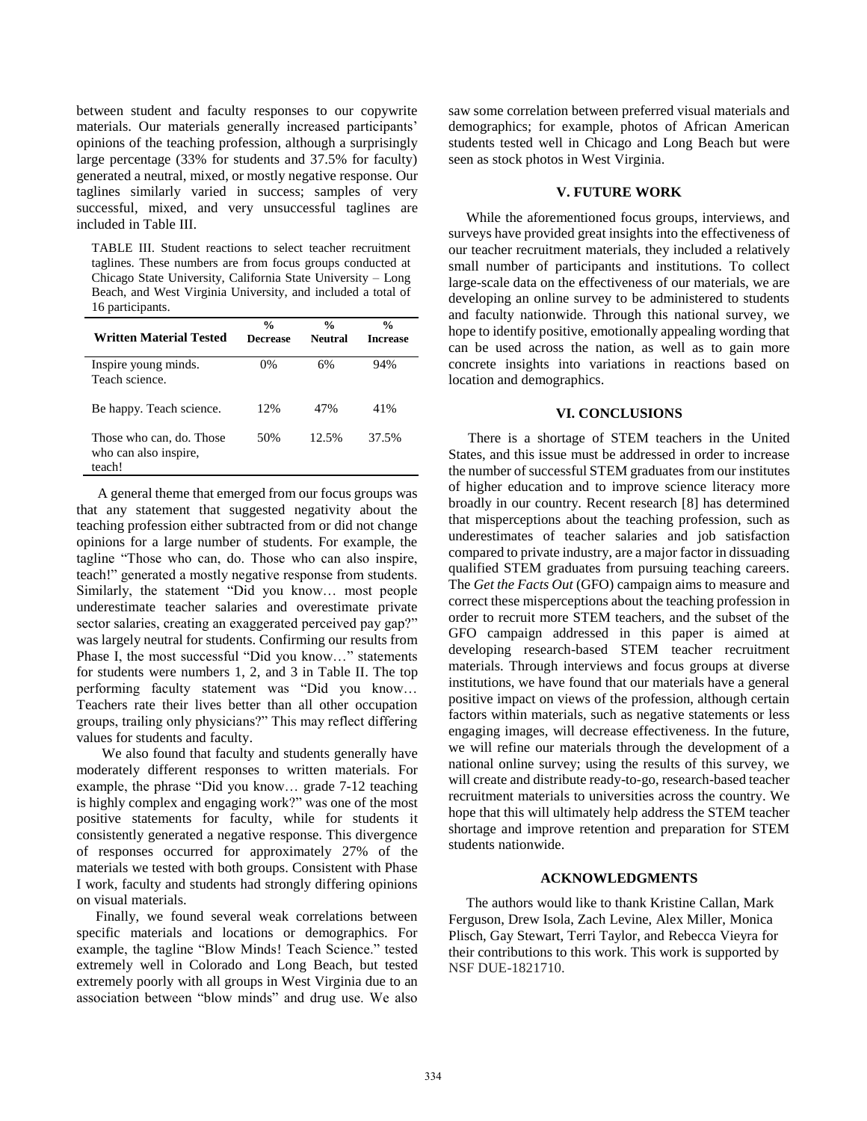between student and faculty responses to our copywrite materials. Our materials generally increased participants' opinions of the teaching profession, although a surprisingly large percentage (33% for students and 37.5% for faculty) generated a neutral, mixed, or mostly negative response. Our taglines similarly varied in success; samples of very successful, mixed, and very unsuccessful taglines are included in Table III.

TABLE III. Student reactions to select teacher recruitment taglines. These numbers are from focus groups conducted at Chicago State University, California State University – Long Beach, and West Virginia University, and included a total of 16 participants.

| Written Material Tested                                     | $\frac{0}{0}$<br>Decrease | $\frac{0}{n}$<br>Neutral | $\frac{6}{9}$<br><b>Increase</b> |
|-------------------------------------------------------------|---------------------------|--------------------------|----------------------------------|
| Inspire young minds.<br>Teach science.                      | 0%                        | 6%                       | 94%                              |
| Be happy. Teach science.                                    | 12%                       | 47%                      | 41%                              |
| Those who can, do. Those<br>who can also inspire,<br>teach! | 50%                       | 12.5%                    | 37.5%                            |

 A general theme that emerged from our focus groups was that any statement that suggested negativity about the teaching profession either subtracted from or did not change opinions for a large number of students. For example, the tagline "Those who can, do. Those who can also inspire, teach!" generated a mostly negative response from students. Similarly, the statement "Did you know… most people underestimate teacher salaries and overestimate private sector salaries, creating an exaggerated perceived pay gap?" was largely neutral for students. Confirming our results from Phase I, the most successful "Did you know…" statements for students were numbers 1, 2, and 3 in Table II. The top performing faculty statement was "Did you know… Teachers rate their lives better than all other occupation groups, trailing only physicians?" This may reflect differing values for students and faculty.

We also found that faculty and students generally have moderately different responses to written materials. For example, the phrase "Did you know… grade 7-12 teaching is highly complex and engaging work?" was one of the most positive statements for faculty, while for students it consistently generated a negative response. This divergence of responses occurred for approximately 27% of the materials we tested with both groups. Consistent with Phase I work, faculty and students had strongly differing opinions on visual materials.

Finally, we found several weak correlations between specific materials and locations or demographics. For example, the tagline "Blow Minds! Teach Science." tested extremely well in Colorado and Long Beach, but tested extremely poorly with all groups in West Virginia due to an association between "blow minds" and drug use. We also saw some correlation between preferred visual materials and demographics; for example, photos of African American students tested well in Chicago and Long Beach but were seen as stock photos in West Virginia.

## **V. FUTURE WORK**

 While the aforementioned focus groups, interviews, and surveys have provided great insights into the effectiveness of our teacher recruitment materials, they included a relatively small number of participants and institutions. To collect large-scale data on the effectiveness of our materials, we are developing an online survey to be administered to students and faculty nationwide. Through this national survey, we hope to identify positive, emotionally appealing wording that can be used across the nation, as well as to gain more concrete insights into variations in reactions based on location and demographics.

## **VI. CONCLUSIONS**

There is a shortage of STEM teachers in the United States, and this issue must be addressed in order to increase the number of successful STEM graduates from our institutes of higher education and to improve science literacy more broadly in our country. Recent research [8] has determined that misperceptions about the teaching profession, such as underestimates of teacher salaries and job satisfaction compared to private industry, are a major factor in dissuading qualified STEM graduates from pursuing teaching careers. The *Get the Facts Out* (GFO) campaign aims to measure and correct these misperceptions about the teaching profession in order to recruit more STEM teachers, and the subset of the GFO campaign addressed in this paper is aimed at developing research-based STEM teacher recruitment materials. Through interviews and focus groups at diverse institutions, we have found that our materials have a general positive impact on views of the profession, although certain factors within materials, such as negative statements or less engaging images, will decrease effectiveness. In the future, we will refine our materials through the development of a national online survey; using the results of this survey, we will create and distribute ready-to-go, research-based teacher recruitment materials to universities across the country. We hope that this will ultimately help address the STEM teacher shortage and improve retention and preparation for STEM students nationwide.

## **ACKNOWLEDGMENTS**

 The authors would like to thank Kristine Callan, Mark Ferguson, Drew Isola, Zach Levine, Alex Miller, Monica Plisch, Gay Stewart, Terri Taylor, and Rebecca Vieyra for their contributions to this work. This work is supported by NSF DUE-1821710.